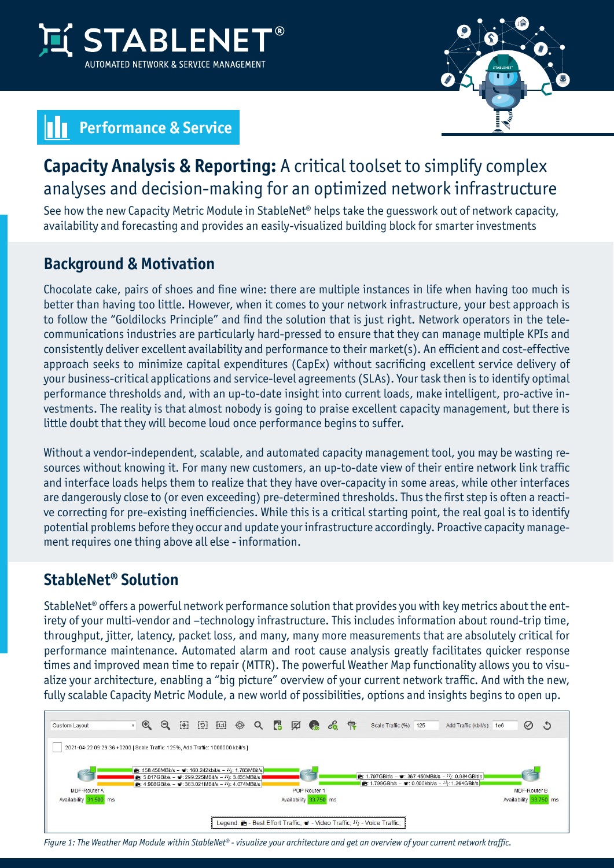



# **Performance & Service**

## **Capacity Analysis & Reporting:** A critical toolset to simplify complex analyses and decision-making for an optimized network infrastructure

See how the new Capacity Metric Module in StableNet® helps take the guesswork out of network capacity, availability and forecasting and provides an easily-visualized building block for smarter investments

### **Background & Motivation**

Chocolate cake, pairs of shoes and fine wine: there are multiple instances in life when having too much is better than having too little. However, when it comes to your network infrastructure, your best approach is to follow the "Goldilocks Principle" and find the solution that is just right. Network operators in the telecommunications industries are particularly hard-pressed to ensure that they can manage multiple KPIs and consistently deliver excellent availability and performance to their market(s). An efficient and cost-effective approach seeks to minimize capital expenditures (CapEx) without sacrificing excellent service delivery of your business-critical applications and service-level agreements (SLAs). Your task then is to identify optimal performance thresholds and, with an up-to-date insight into current loads, make intelligent, pro-active investments. The reality is that almost nobody is going to praise excellent capacity management, but there is little doubt that they will become loud once performance begins to suffer.

Without a vendor-independent, scalable, and automated capacity management tool, you may be wasting resources without knowing it. For many new customers, an up-to-date view of their entire network link traffic and interface loads helps them to realize that they have over-capacity in some areas, while other interfaces are dangerously close to (or even exceeding) pre-determined thresholds. Thus the first step is often a reactive correcting for pre-existing inefficiencies. While this is a critical starting point, the real goal is to identify potential problems before they occur and update your infrastructure accordingly. Proactive capacity management requires one thing above all else - information.

## **StableNet® Solution**

StableNet® offers a powerful network performance solution that provides you with key metrics about the entirety of your multi-vendor and –technology infrastructure. This includes information about round-trip time, throughput, jitter, latency, packet loss, and many, many more measurements that are absolutely critical for performance maintenance. Automated alarm and root cause analysis greatly facilitates quicker response times and improved mean time to repair (MTTR). The powerful Weather Map functionality allows you to visualize your architecture, enabling a "big picture" overview of your current network traffic. And with the new, fully scalable Capacity Metric Module, a new world of possibilities, options and insights begins to open up.



*Figure 1: The Weather Map Module within StableNet® - visualize your architecture and get an overview of your current network traffic.*